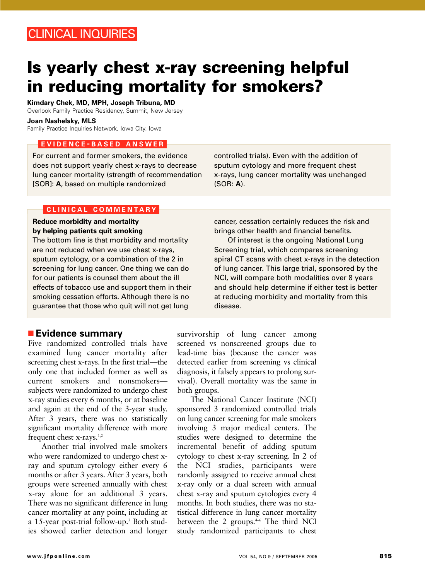# **Is yearly chest x-ray screening helpful in reducing mortality for smokers?**

**Kimdary Chek, MD, MPH, Joseph Tribuna, MD** Overlook Family Practice Residency, Summit, New Jersey

**Joan Nashelsky, MLS**

Family Practice Inquiries Network, Iowa City, Iowa

### **EVIDENCE - BASED ANSWER**

For current and former smokers, the evidence does not support yearly chest x-rays to decrease lung cancer mortality (strength of recommendation [SOR]: **A**, based on multiple randomized

### **CLINICAL COMMENTARY**

#### **Reduce morbidity and mortality by helping patients quit smoking**

The bottom line is that morbidity and mortality are not reduced when we use chest x-rays, sputum cytology, or a combination of the 2 in screening for lung cancer. One thing we can do for our patients is counsel them about the ill effects of tobacco use and support them in their smoking cessation efforts. Although there is no guarantee that those who quit will not get lung

## ■ **Evidence summary**

Five randomized controlled trials have examined lung cancer mortality after screening chest x-rays. In the first trial—the only one that included former as well as current smokers and nonsmokers subjects were randomized to undergo chest x-ray studies every 6 months, or at baseline and again at the end of the 3-year study. After 3 years, there was no statistically significant mortality difference with more frequent chest x-rays.1,2

Another trial involved male smokers who were randomized to undergo chest xray and sputum cytology either every 6 months or after 3 years. After 3 years, both groups were screened annually with chest x-ray alone for an additional 3 years. There was no significant difference in lung cancer mortality at any point, including at a 15-year post-trial follow-up.<sup>3</sup> Both studies showed earlier detection and longer

controlled trials). Even with the addition of sputum cytology and more frequent chest x-rays, lung cancer mortality was unchanged (SOR: **A**).

cancer, cessation certainly reduces the risk and brings other health and financial benefits.

Of interest is the ongoing National Lung Screening trial, which compares screening spiral CT scans with chest x-rays in the detection of lung cancer. This large trial, sponsored by the NCI, will compare both modalities over 8 years and should help determine if either test is better at reducing morbidity and mortality from this disease.

survivorship of lung cancer among screened vs nonscreened groups due to lead-time bias (because the cancer was detected earlier from screening vs clinical diagnosis, it falsely appears to prolong survival). Overall mortality was the same in both groups.

The National Cancer Institute (NCI) sponsored 3 randomized controlled trials on lung cancer screening for male smokers involving 3 major medical centers. The studies were designed to determine the incremental benefit of adding sputum cytology to chest x-ray screening. In 2 of the NCI studies, participants were randomly assigned to receive annual chest x-ray only or a dual screen with annual chest x-ray and sputum cytologies every 4 months. In both studies, there was no statistical difference in lung cancer mortality between the 2 groups. $4-6$  The third NCI study randomized participants to chest